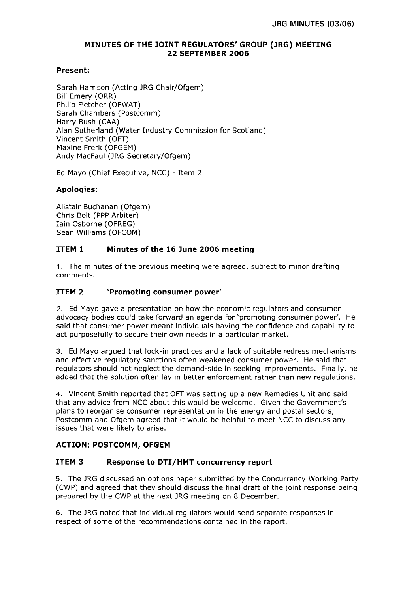## **MINUTES OF THE JOINT REGULATORS' GROUP (JRG) MEETING 22 SEPTEMBER 2006**

# **Present:**

Sarah Harrison (Acting JRG Chair/Ofgem) Bill Emery (ORR) Philip Fletcher (OFWAT) Sarah Chambers (Postcomm) Harry Bush (CAA) Alan Sutherland (Water Industry Commission for Scotland) Vincent Smith (OFT) Maxine Frerk (OFGEM) Andy MacFaul (JRG Secretary/Ofgem)

Ed Mayo (Chief Executive, NCC) - Item 2

# **Apologies:**

Alistair Buchanan (Ofgem) Chris Bolt (PPP Arbiter) Iain Osborne (OFREG) Sean Williams (OFCOM)

# **ITEM 1 Minutes of the 16 June 2006 meeting**

1. The minutes of the previous meeting were agreed, subject to minor drafting comments.

# **ITEM 2 'Promoting consumer power'**

2. Ed Mayo gave a presentation on how the economic regulators and consumer advocacy bodies could take forward an agenda for 'promoting consumer power'. He said that consumer power meant individuals having the confidence and capability to act purposefully to secure their own needs in a particular market.

3. Ed Mayo argued that lock-in practices and a lack of suitable redress mechanisms and effective regulatory sanctions often weakened consumer power. He said that regulators should not neglect the demand-side in seeking improvements. Finally, he added that the solution often lay in better enforcement rather than new regulations.

4. Vincent Smith reported that OFT was setting up a new Remedies Unit and said that any advice from NCC about this would be welcome. Given the Government's plans to reorganise consumer representation in the energy and postal sectors, Postcomm and Ofgem agreed that it would be helpful to meet NCC to discuss any issues that were likely to arise.

## **ACTION: POSTCOMM, OFGEM**

## **ITEM 3 Response to DTI/HMT concurrency report**

5. The JRG discussed an options paper submitted by the Concurrency Working Party (CWP) and agreed that they should discuss the final draft of the joint response being prepared by the CWP at the next JRG meeting on 8 December.

6. The JRG noted that individual regulators would send separate responses in respect of some of the recommendations contained in the report.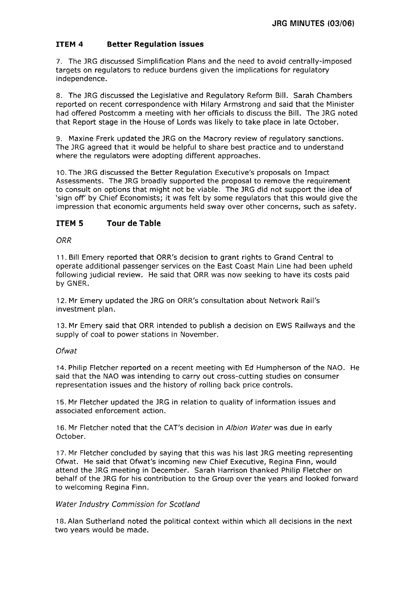# **ITEM 4 Better Regulation issues**

7. The JRG discussed Simplification Plans and the need to avoid centrally-imposed targets on regulators to reduce burdens given the implications for regulatory independence.

8. The JRG discussed the Legislative and Regulatory Reform Bill. Sarah Chambers reported on recent correspondence with Hilary Armstrong and said that the Minister had offered Postcomm a meeting with her officials to discuss the Bill. The JRG noted that Report stage in the House of Lords was likely to take place in late October.

9. Maxine Frerk updated the JRG on the Macrory review of regulatory sanctions. The JRG agreed that it would be helpful to share best practice and to understand where the regulators were adopting different approaches.

10. The JRG discussed the Better Regulation Executive's proposals on Impact Assessments. The JRG broadly supported the proposal to remove the requirement to consult on options that might not be viable. The JRG did not support the idea of 'sign off' by Chief Economists; it was felt by some regulators that this would give the impression that economic arguments held sway over other concerns, such as safety.

### **ITEM 5 Tour de Table**

### **ORR**

11. Bill Emery reported that ORR's decision to grant rights to Grand Central to operate additional passenger services on the East Coast Main Line had been upheld following judicial review. He said that ORR was now seeking to have its costs paid by GNER.

12. Mr Emery updated the JRG on ORR's consultation about Network Rail's investment plan.

13. Mr Emery said that ORR intended to publish a decision on EWS Railways and the supply of coal to power stations in November.

#### Ofwat

14. Philip Fletcher reported on a recent meeting with **Ed** Humpherson of the NAO. He said that the NAO was intending to carry out cross-cutting studies on consumer representation issues and the history of rolling back price controls.

15. Mr Fletcher updated the JRG in relation to quality of information issues and associated enforcement action.

16. Mr Fletcher noted that the CAT's decision in Albion Water was due in early October.

17. Mr Fletcher concluded by saying that this was his last JRG meeting representing Ofwat. He said that Ofwat's incoming new Chief Executive, Regina Finn, would attend the JRG meeting in December. Sarah Harrison thanked Philip Fletcher on behalf of the JRG for his contribution to the Group over the years and looked forward to welcoming Regina Finn.

#### Water Industry Commission for Scotland

18. Alan Sutherland noted the political context within which all decisions in the next two years would be made.